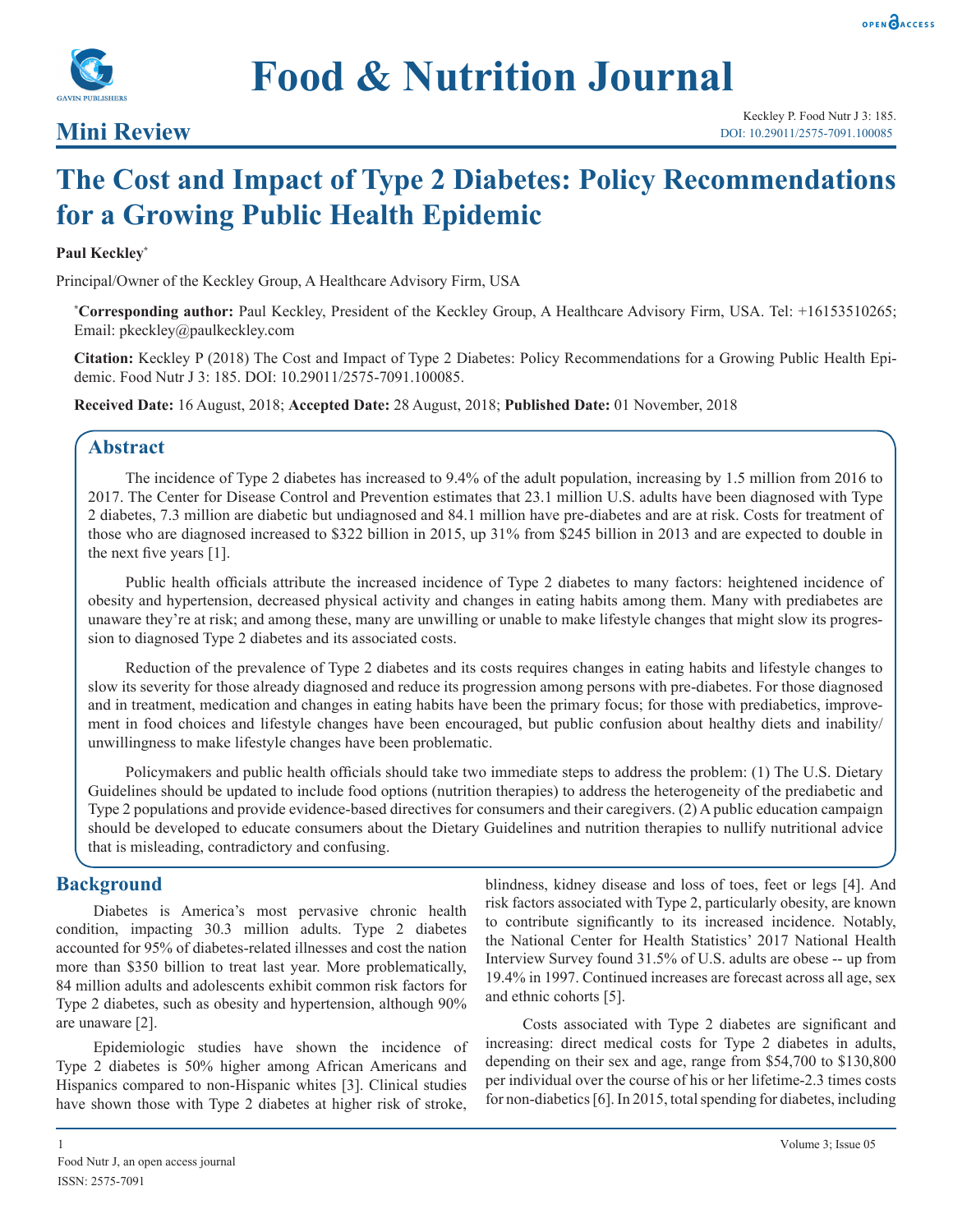

## **Mini Review**

Keckley P. Food Nutr J 3: 185. DOI: 10.29011/2575-7091.100085

# **The Cost and Impact of Type 2 Diabetes: Policy Recommendations for a Growing Public Health Epidemic**

#### **Paul Keckley\***

Principal/Owner of the Keckley Group, A Healthcare Advisory Firm, USA

**\* Corresponding author:** Paul Keckley, President of the Keckley Group, A Healthcare Advisory Firm, USA. Tel: +16153510265; Email: pkeckley@paulkeckley.com

**Citation:** Keckley P (2018) The Cost and Impact of Type 2 Diabetes: Policy Recommendations for a Growing Public Health Epidemic. Food Nutr J 3: 185. DOI: 10.29011/2575-7091.100085.

**Received Date:** 16 August, 2018; **Accepted Date:** 28 August, 2018; **Published Date:** 01 November, 2018

#### **Abstract**

The incidence of Type 2 diabetes has increased to 9.4% of the adult population, increasing by 1.5 million from 2016 to 2017. The Center for Disease Control and Prevention estimates that 23.1 million U.S. adults have been diagnosed with Type 2 diabetes, 7.3 million are diabetic but undiagnosed and 84.1 million have pre-diabetes and are at risk. Costs for treatment of those who are diagnosed increased to \$322 billion in 2015, up 31% from \$245 billion in 2013 and are expected to double in the next five years [1].

Public health officials attribute the increased incidence of Type 2 diabetes to many factors: heightened incidence of obesity and hypertension, decreased physical activity and changes in eating habits among them. Many with prediabetes are unaware they're at risk; and among these, many are unwilling or unable to make lifestyle changes that might slow its progression to diagnosed Type 2 diabetes and its associated costs.

Reduction of the prevalence of Type 2 diabetes and its costs requires changes in eating habits and lifestyle changes to slow its severity for those already diagnosed and reduce its progression among persons with pre-diabetes. For those diagnosed and in treatment, medication and changes in eating habits have been the primary focus; for those with prediabetics, improvement in food choices and lifestyle changes have been encouraged, but public confusion about healthy diets and inability/ unwillingness to make lifestyle changes have been problematic.

Policymakers and public health officials should take two immediate steps to address the problem: (1) The U.S. Dietary Guidelines should be updated to include food options (nutrition therapies) to address the heterogeneity of the prediabetic and Type 2 populations and provide evidence-based directives for consumers and their caregivers. (2) A public education campaign should be developed to educate consumers about the Dietary Guidelines and nutrition therapies to nullify nutritional advice that is misleading, contradictory and confusing.

## **Background**

Diabetes is America's most pervasive chronic health condition, impacting 30.3 million adults. Type 2 diabetes accounted for 95% of diabetes-related illnesses and cost the nation more than \$350 billion to treat last year. More problematically, 84 million adults and adolescents exhibit common risk factors for Type 2 diabetes, such as obesity and hypertension, although 90% are unaware [2].

Epidemiologic studies have shown the incidence of Type 2 diabetes is 50% higher among African Americans and Hispanics compared to non-Hispanic whites [3]. Clinical studies have shown those with Type 2 diabetes at higher risk of stroke,

blindness, kidney disease and loss of toes, feet or legs [4]. And risk factors associated with Type 2, particularly obesity, are known to contribute significantly to its increased incidence. Notably, the National Center for Health Statistics' 2017 National Health Interview Survey found 31.5% of U.S. adults are obese -- up from 19.4% in 1997. Continued increases are forecast across all age, sex and ethnic cohorts [5].

Costs associated with Type 2 diabetes are significant and increasing: direct medical costs for Type 2 diabetes in adults, depending on their sex and age, range from \$54,700 to \$130,800 per individual over the course of his or her lifetime-2.3 times costs for non-diabetics [6]. In 2015, total spending for diabetes, including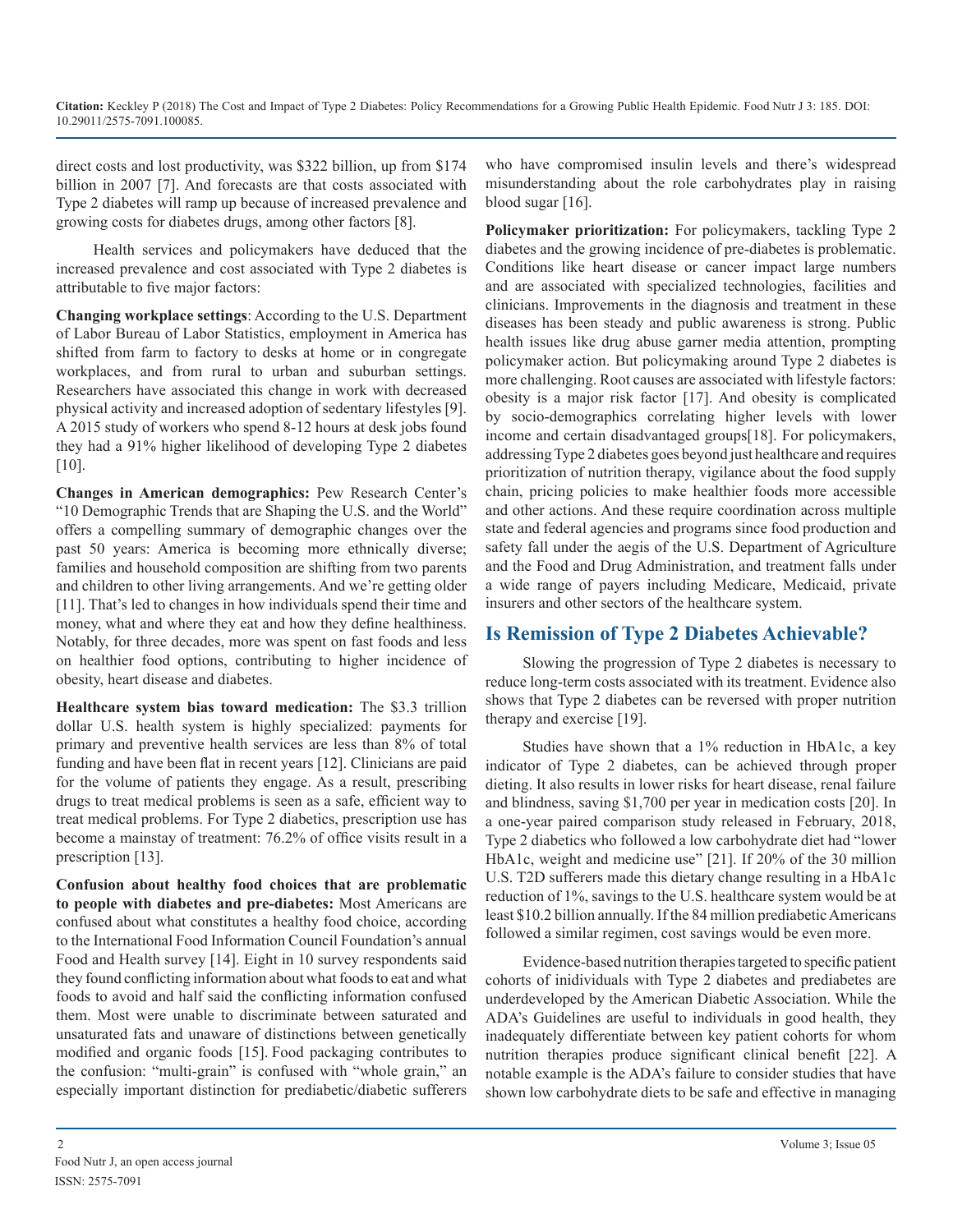direct costs and lost productivity, was \$322 billion, up from \$174 billion in 2007 [7]. And forecasts are that costs associated with Type 2 diabetes will ramp up because of increased prevalence and growing costs for diabetes drugs, among other factors [8].

Health services and policymakers have deduced that the increased prevalence and cost associated with Type 2 diabetes is attributable to five major factors:

**Changing workplace settings**: According to the U.S. Department of Labor Bureau of Labor Statistics, employment in America has shifted from farm to factory to desks at home or in congregate workplaces, and from rural to urban and suburban settings. Researchers have associated this change in work with decreased physical activity and increased adoption of sedentary lifestyles [9]. A 2015 study of workers who spend 8-12 hours at desk jobs found they had a 91% higher likelihood of developing Type 2 diabetes [10].

**Changes in American demographics:** Pew Research Center's "10 Demographic Trends that are Shaping the U.S. and the World" offers a compelling summary of demographic changes over the past 50 years: America is becoming more ethnically diverse; families and household composition are shifting from two parents and children to other living arrangements. And we're getting older [11]. That's led to changes in how individuals spend their time and money, what and where they eat and how they define healthiness. Notably, for three decades, more was spent on fast foods and less on healthier food options, contributing to higher incidence of obesity, heart disease and diabetes.

**Healthcare system bias toward medication:** The \$3.3 trillion dollar U.S. health system is highly specialized: payments for primary and preventive health services are less than 8% of total funding and have been flat in recent years [12]. Clinicians are paid for the volume of patients they engage. As a result, prescribing drugs to treat medical problems is seen as a safe, efficient way to treat medical problems. For Type 2 diabetics, prescription use has become a mainstay of treatment: 76.2% of office visits result in a prescription [13].

**Confusion about healthy food choices that are problematic to people with diabetes and pre-diabetes:** Most Americans are confused about what constitutes a healthy food choice, according to the International Food Information Council Foundation's annual [Food and Health survey](http://www.foodinsight.org/2017-food-and-health-survey) [14]. Eight in 10 survey respondents said they found conflicting information about what foods to eat and what foods to avoid and half said the conflicting information confused them. Most were unable to discriminate between saturated and unsaturated fats and unaware of distinctions between genetically modified and organic foods [15]. Food packaging contributes to the confusion: "multi-grain" is confused with "whole grain," an especially important distinction for prediabetic/diabetic sufferers

who have compromised insulin levels and there's widespread misunderstanding about the role carbohydrates play in raising blood sugar [16].

**Policymaker prioritization:** For policymakers, tackling Type 2 diabetes and the growing incidence of pre-diabetes is problematic. Conditions like heart disease or cancer impact large numbers and are associated with specialized technologies, facilities and clinicians. Improvements in the diagnosis and treatment in these diseases has been steady and public awareness is strong. Public health issues like drug abuse garner media attention, prompting policymaker action. But policymaking around Type 2 diabetes is more challenging. Root causes are associated with lifestyle factors: obesity is a major risk factor [17]. And obesity is complicated by socio-demographics correlating higher levels with lower income and certain disadvantaged groups[18]. For policymakers, addressing Type 2 diabetes goes beyond just healthcare and requires prioritization of nutrition therapy, vigilance about the food supply chain, pricing policies to make healthier foods more accessible and other actions. And these require coordination across multiple state and federal agencies and programs since food production and safety fall under the aegis of the U.S. Department of Agriculture and the Food and Drug Administration, and treatment falls under a wide range of payers including Medicare, Medicaid, private insurers and other sectors of the healthcare system.

## **Is Remission of Type 2 Diabetes Achievable?**

Slowing the progression of Type 2 diabetes is necessary to reduce long-term costs associated with its treatment. Evidence also shows that Type 2 diabetes can be reversed with proper nutrition therapy and exercise [19].

Studies have shown that a 1% reduction in HbA1c, a key indicator of Type 2 diabetes, can be achieved through proper dieting. It also results in lower risks for heart disease, renal failure and blindness, saving \$1,700 per year in medication costs [20]. In a one-year paired comparison study released in February, 2018, Type 2 diabetics who followed a low carbohydrate diet had "lower HbA1c, weight and medicine use" [21]. If 20% of the 30 million U.S. T2D sufferers made this dietary change resulting in a HbA1c reduction of 1%, savings to the U.S. healthcare system would be at least \$10.2 billion annually. If the 84 million prediabetic Americans followed a similar regimen, cost savings would be even more.

Evidence-based nutrition therapies targeted to specific patient cohorts of inidividuals with Type 2 diabetes and prediabetes are underdeveloped by the American Diabetic Association. While the ADA's Guidelines are useful to individuals in good health, they inadequately differentiate between key patient cohorts for whom nutrition therapies produce significant clinical benefit [22]. A notable example is the ADA's failure to consider studies that have shown low carbohydrate diets to be safe and effective in managing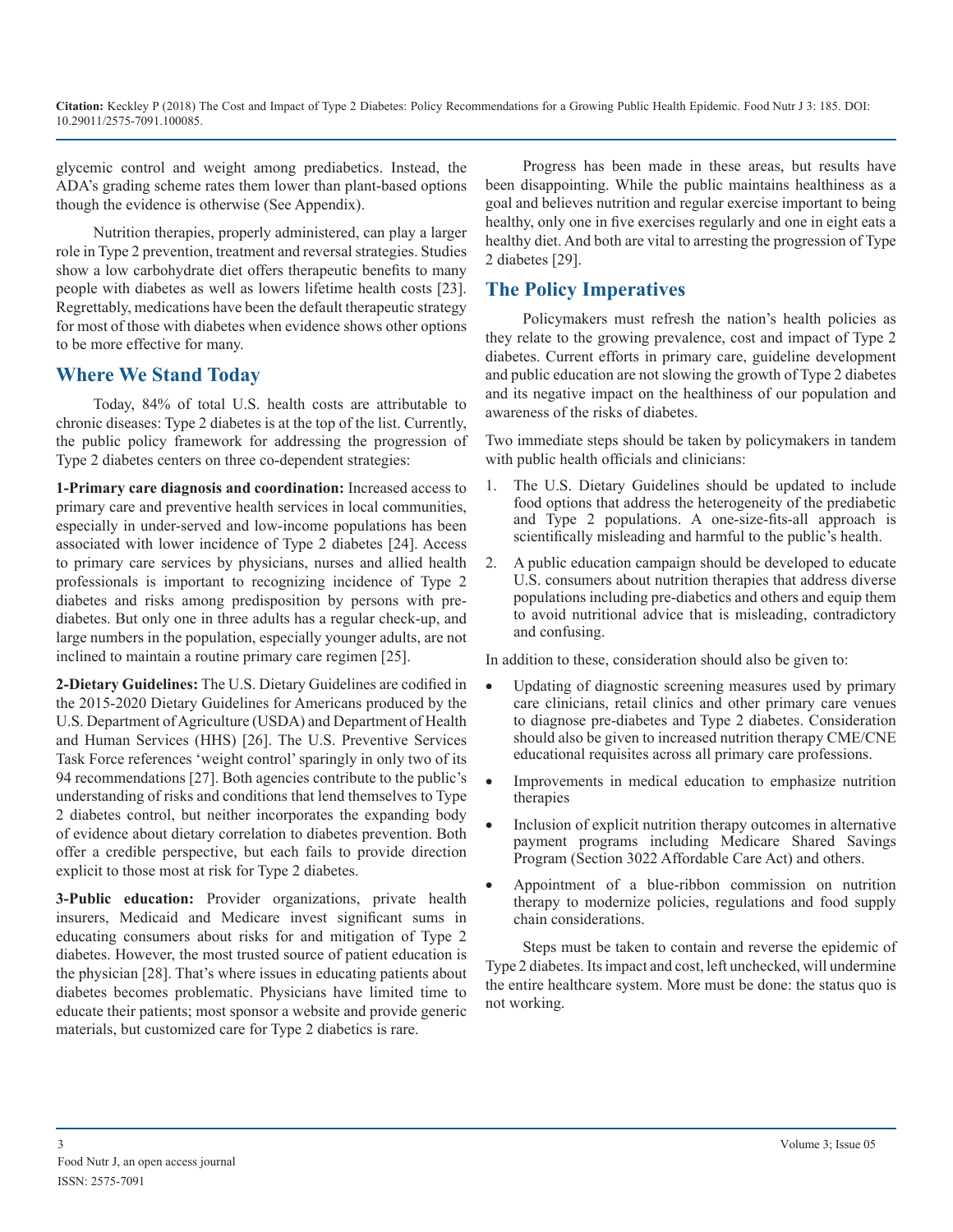**Citation:** Keckley P (2018) The Cost and Impact of Type 2 Diabetes: Policy Recommendations for a Growing Public Health Epidemic. Food Nutr J 3: 185. DOI: 10.29011/2575-7091.100085.

glycemic control and weight among prediabetics. Instead, the ADA's grading scheme rates them lower than plant-based options though the evidence is otherwise (See Appendix).

Nutrition therapies, properly administered, can play a larger role in Type 2 prevention, treatment and reversal strategies. Studies show a low carbohydrate diet offers therapeutic benefits to many people with diabetes as well as lowers lifetime health costs [23]. Regrettably, medications have been the default therapeutic strategy for most of those with diabetes when evidence shows other options to be more effective for many.

## **Where We Stand Today**

Today, 84% of total U.S. health costs are attributable to chronic diseases: Type 2 diabetes is at the top of the list. Currently, the public policy framework for addressing the progression of Type 2 diabetes centers on three co-dependent strategies:

**1-Primary care diagnosis and coordination:** Increased access to primary care and preventive health services in local communities, especially in under-served and low-income populations has been associated with lower incidence of Type 2 diabetes [24]. Access to primary care services by physicians, nurses and allied health professionals is important to recognizing incidence of Type 2 diabetes and risks among predisposition by persons with prediabetes. But only one in three adults has a regular check-up, and large numbers in the population, especially younger adults, are not inclined to maintain a routine primary care regimen [25].

**2-Dietary Guidelines:** The U.S. Dietary Guidelines are codified in the 2015-2020 Dietary Guidelines for Americans produced by the U.S. Department of Agriculture (USDA) and Department of Health and Human Services (HHS) [26]. The U.S. Preventive Services Task Force references 'weight control' sparingly in only two of its 94 recommendations [27]. Both agencies contribute to the public's understanding of risks and conditions that lend themselves to Type 2 diabetes control, but neither incorporates the expanding body of evidence about dietary correlation to diabetes prevention. Both offer a credible perspective, but each fails to provide direction explicit to those most at risk for Type 2 diabetes.

**3-Public education:** Provider organizations, private health insurers, Medicaid and Medicare invest significant sums in educating consumers about risks for and mitigation of Type 2 diabetes. However, the most trusted source of patient education is the physician [28]. That's where issues in educating patients about diabetes becomes problematic. Physicians have limited time to educate their patients; most sponsor a website and provide generic materials, but customized care for Type 2 diabetics is rare.

Progress has been made in these areas, but results have been disappointing. While the public maintains healthiness as a goal and believes nutrition and regular exercise important to being healthy, only one in five exercises regularly and one in eight eats a healthy diet. And both are vital to arresting the progression of Type 2 diabetes [29].

## **The Policy Imperatives**

Policymakers must refresh the nation's health policies as they relate to the growing prevalence, cost and impact of Type 2 diabetes. Current efforts in primary care, guideline development and public education are not slowing the growth of Type 2 diabetes and its negative impact on the healthiness of our population and awareness of the risks of diabetes.

Two immediate steps should be taken by policymakers in tandem with public health officials and clinicians:

- 1. The U.S. Dietary Guidelines should be updated to include food options that address the heterogeneity of the prediabetic and Type 2 populations. A one-size-fits-all approach is scientifically misleading and harmful to the public's health.
- 2. A public education campaign should be developed to educate U.S. consumers about nutrition therapies that address diverse populations including pre-diabetics and others and equip them to avoid nutritional advice that is misleading, contradictory and confusing.

In addition to these, consideration should also be given to:

- Updating of diagnostic screening measures used by primary care clinicians, retail clinics and other primary care venues to diagnose pre-diabetes and Type 2 diabetes. Consideration should also be given to increased nutrition therapy CME/CNE educational requisites across all primary care professions.
- Improvements in medical education to emphasize nutrition therapies
- Inclusion of explicit nutrition therapy outcomes in alternative payment programs including Medicare Shared Savings Program (Section 3022 Affordable Care Act) and others.
- Appointment of a blue-ribbon commission on nutrition therapy to modernize policies, regulations and food supply chain considerations.

Steps must be taken to contain and reverse the epidemic of Type 2 diabetes. Its impact and cost, left unchecked, will undermine the entire healthcare system. More must be done: the status quo is not working.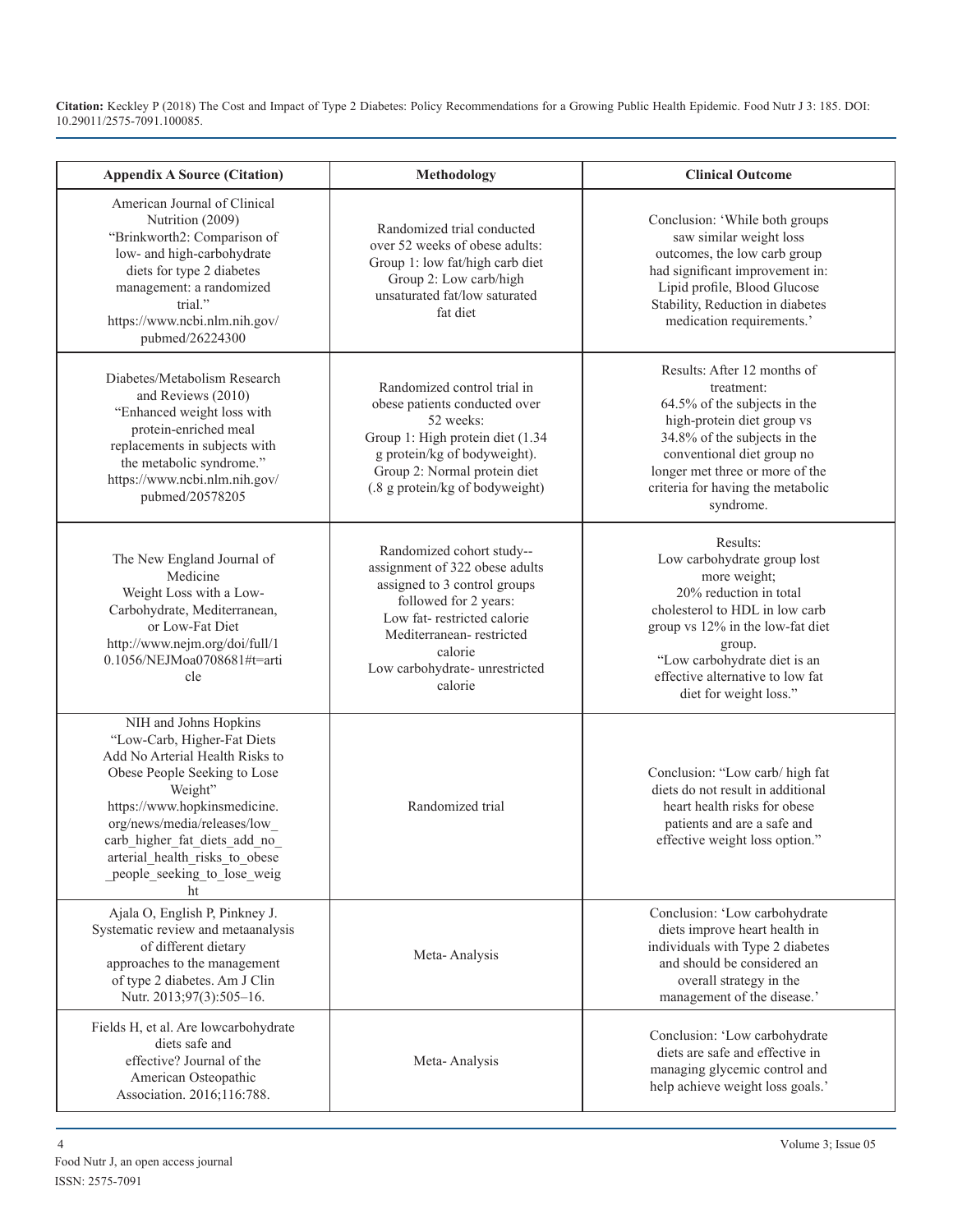**Citation:** Keckley P (2018) The Cost and Impact of Type 2 Diabetes: Policy Recommendations for a Growing Public Health Epidemic. Food Nutr J 3: 185. DOI: 10.29011/2575-7091.100085.

| <b>Appendix A Source (Citation)</b>                                                                                                                                                                                                                                                                       | Methodology                                                                                                                                                                                                                            | <b>Clinical Outcome</b>                                                                                                                                                                                                                                         |
|-----------------------------------------------------------------------------------------------------------------------------------------------------------------------------------------------------------------------------------------------------------------------------------------------------------|----------------------------------------------------------------------------------------------------------------------------------------------------------------------------------------------------------------------------------------|-----------------------------------------------------------------------------------------------------------------------------------------------------------------------------------------------------------------------------------------------------------------|
| American Journal of Clinical<br>Nutrition (2009)<br>"Brinkworth2: Comparison of<br>low- and high-carbohydrate<br>diets for type 2 diabetes<br>management: a randomized<br>trial."<br>https://www.ncbi.nlm.nih.gov/<br>pubmed/26224300                                                                     | Randomized trial conducted<br>over 52 weeks of obese adults:<br>Group 1: low fat/high carb diet<br>Group 2: Low carb/high<br>unsaturated fat/low saturated<br>fat diet                                                                 | Conclusion: 'While both groups<br>saw similar weight loss<br>outcomes, the low carb group<br>had significant improvement in:<br>Lipid profile, Blood Glucose<br>Stability, Reduction in diabetes<br>medication requirements.'                                   |
| Diabetes/Metabolism Research<br>and Reviews (2010)<br>"Enhanced weight loss with<br>protein-enriched meal<br>replacements in subjects with<br>the metabolic syndrome."<br>https://www.ncbi.nlm.nih.gov/<br>pubmed/20578205                                                                                | Randomized control trial in<br>obese patients conducted over<br>52 weeks:<br>Group 1: High protein diet (1.34<br>g protein/kg of bodyweight).<br>Group 2: Normal protein diet<br>(.8 g protein/kg of bodyweight)                       | Results: After 12 months of<br>treatment:<br>64.5% of the subjects in the<br>high-protein diet group vs<br>34.8% of the subjects in the<br>conventional diet group no<br>longer met three or more of the<br>criteria for having the metabolic<br>syndrome.      |
| The New England Journal of<br>Medicine<br>Weight Loss with a Low-<br>Carbohydrate, Mediterranean,<br>or Low-Fat Diet<br>http://www.nejm.org/doi/full/1<br>0.1056/NEJMoa0708681#t=arti<br>cle                                                                                                              | Randomized cohort study--<br>assignment of 322 obese adults<br>assigned to 3 control groups<br>followed for 2 years:<br>Low fat-restricted calorie<br>Mediterranean-restricted<br>calorie<br>Low carbohydrate- unrestricted<br>calorie | Results:<br>Low carbohydrate group lost<br>more weight;<br>20% reduction in total<br>cholesterol to HDL in low carb<br>group vs 12% in the low-fat diet<br>group.<br>"Low carbohydrate diet is an<br>effective alternative to low fat<br>diet for weight loss." |
| NIH and Johns Hopkins<br>"Low-Carb, Higher-Fat Diets<br>Add No Arterial Health Risks to<br>Obese People Seeking to Lose<br>Weight"<br>https://www.hopkinsmedicine.<br>org/news/media/releases/low<br>carb_higher_fat_diets_add_no_<br>arterial health risks to obese<br>people seeking to lose weig<br>ht | Randomized trial                                                                                                                                                                                                                       | Conclusion: "Low carb/ high fat<br>diets do not result in additional<br>heart health risks for obese<br>patients and are a safe and<br>effective weight loss option."                                                                                           |
| Ajala O, English P, Pinkney J.<br>Systematic review and metaanalysis<br>of different dietary<br>approaches to the management<br>of type 2 diabetes. Am J Clin<br>Nutr. 2013;97(3):505-16.                                                                                                                 | Meta-Analysis                                                                                                                                                                                                                          | Conclusion: 'Low carbohydrate<br>diets improve heart health in<br>individuals with Type 2 diabetes<br>and should be considered an<br>overall strategy in the<br>management of the disease.'                                                                     |
| Fields H, et al. Are lowcarbohydrate<br>diets safe and<br>effective? Journal of the<br>American Osteopathic<br>Association. 2016;116:788.                                                                                                                                                                 | Meta-Analysis                                                                                                                                                                                                                          | Conclusion: 'Low carbohydrate<br>diets are safe and effective in<br>managing glycemic control and<br>help achieve weight loss goals.'                                                                                                                           |